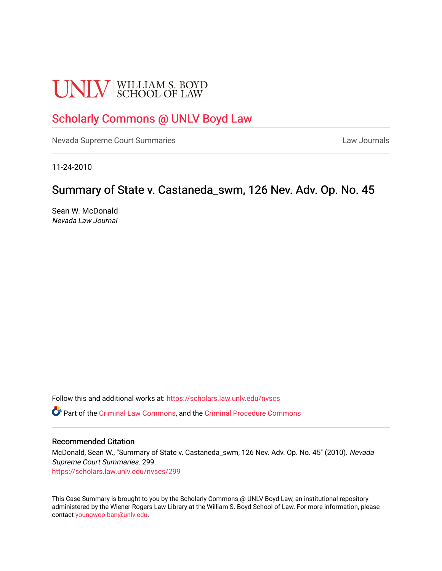# **UNLV** SCHOOL OF LAW

# [Scholarly Commons @ UNLV Boyd Law](https://scholars.law.unlv.edu/)

[Nevada Supreme Court Summaries](https://scholars.law.unlv.edu/nvscs) **Law Journals** Law Journals

11-24-2010

# Summary of State v. Castaneda\_swm, 126 Nev. Adv. Op. No. 45

Sean W. McDonald Nevada Law Journal

Follow this and additional works at: [https://scholars.law.unlv.edu/nvscs](https://scholars.law.unlv.edu/nvscs?utm_source=scholars.law.unlv.edu%2Fnvscs%2F299&utm_medium=PDF&utm_campaign=PDFCoverPages)

Part of the [Criminal Law Commons,](http://network.bepress.com/hgg/discipline/912?utm_source=scholars.law.unlv.edu%2Fnvscs%2F299&utm_medium=PDF&utm_campaign=PDFCoverPages) and the [Criminal Procedure Commons](http://network.bepress.com/hgg/discipline/1073?utm_source=scholars.law.unlv.edu%2Fnvscs%2F299&utm_medium=PDF&utm_campaign=PDFCoverPages)

## Recommended Citation

McDonald, Sean W., "Summary of State v. Castaneda\_swm, 126 Nev. Adv. Op. No. 45" (2010). Nevada Supreme Court Summaries. 299. [https://scholars.law.unlv.edu/nvscs/299](https://scholars.law.unlv.edu/nvscs/299?utm_source=scholars.law.unlv.edu%2Fnvscs%2F299&utm_medium=PDF&utm_campaign=PDFCoverPages)

This Case Summary is brought to you by the Scholarly Commons @ UNLV Boyd Law, an institutional repository administered by the Wiener-Rogers Law Library at the William S. Boyd School of Law. For more information, please contact [youngwoo.ban@unlv.edu](mailto:youngwoo.ban@unlv.edu).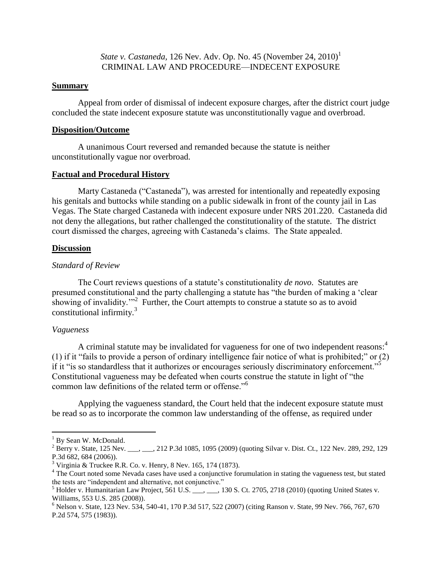*State v. Castaneda,* 126 Nev. Adv. Op. No. 45 (November 24, 2010) 1 CRIMINAL LAW AND PROCEDURE—INDECENT EXPOSURE

#### **Summary**

Appeal from order of dismissal of indecent exposure charges, after the district court judge concluded the state indecent exposure statute was unconstitutionally vague and overbroad.

#### **Disposition/Outcome**

A unanimous Court reversed and remanded because the statute is neither unconstitutionally vague nor overbroad.

## **Factual and Procedural History**

Marty Castaneda ("Castaneda"), was arrested for intentionally and repeatedly exposing his genitals and buttocks while standing on a public sidewalk in front of the county jail in Las Vegas. The State charged Castaneda with indecent exposure under NRS 201.220. Castaneda did not deny the allegations, but rather challenged the constitutionality of the statute. The district court dismissed the charges, agreeing with Castaneda"s claims. The State appealed.

#### **Discussion**

## *Standard of Review*

The Court reviews questions of a statute's constitutionality *de novo*. Statutes are presumed constitutional and the party challenging a statute has "the burden of making a "clear showing of invalidity."<sup>2</sup> Further, the Court attempts to construe a statute so as to avoid constitutional infirmity.<sup>3</sup>

#### *Vagueness*

 $\overline{a}$ 

A criminal statute may be invalidated for vagueness for one of two independent reasons:<sup>4</sup> (1) if it "fails to provide a person of ordinary intelligence fair notice of what is prohibited;" or (2) if it "is so standardless that it authorizes or encourages seriously discriminatory enforcement."<sup>5</sup> Constitutional vagueness may be defeated when courts construe the statute in light of "the common law definitions of the related term or offense."<sup>6</sup>

Applying the vagueness standard, the Court held that the indecent exposure statute must be read so as to incorporate the common law understanding of the offense, as required under

 $<sup>1</sup>$  By Sean W. McDonald.</sup>

<sup>&</sup>lt;sup>2</sup> Berry v. State, 125 Nev. \_\_\_, \_\_, 212 P.3d 1085, 1095 (2009) (quoting Silvar v. Dist. Ct., 122 Nev. 289, 292, 129 P.3d 682, 684 (2006)).

 $3$  Virginia & Truckee R.R. Co. v. Henry, 8 Nev. 165, 174 (1873).

<sup>&</sup>lt;sup>4</sup> The Court noted some Nevada cases have used a conjunctive forumulation in stating the vagueness test, but stated the tests are "independent and alternative, not conjunctive."

 $<sup>5</sup>$  Holder v. Humanitarian Law Project, 561 U.S. \_\_\_, \_\_\_, 130 S. Ct. 2705, 2718 (2010) (quoting United States v.</sup> Williams, 553 U.S. 285 (2008)).

<sup>6</sup> Nelson v. State, 123 Nev. 534, 540-41, 170 P.3d 517, 522 (2007) (citing Ranson v. State, 99 Nev. 766, 767, 670 P.2d 574, 575 (1983)).